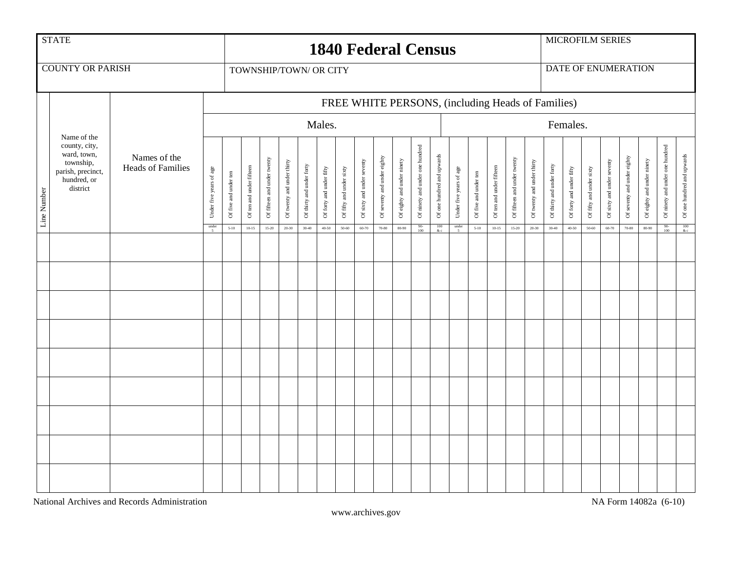|             | <b>STATE</b><br><b>1840 Federal Census</b>                                                               |                                          |                                              |                                                   |                                       |                                          |                                         |                                        |                                       |                                       |                                     |                                      |                                     |                                                     |                                                 | MICROFILM SERIES                             |                                   |                                       |                                          |                                         |                                        |                                       |                                       |                                         |                                      |                                     |                                                     |                                                                                 |
|-------------|----------------------------------------------------------------------------------------------------------|------------------------------------------|----------------------------------------------|---------------------------------------------------|---------------------------------------|------------------------------------------|-----------------------------------------|----------------------------------------|---------------------------------------|---------------------------------------|-------------------------------------|--------------------------------------|-------------------------------------|-----------------------------------------------------|-------------------------------------------------|----------------------------------------------|-----------------------------------|---------------------------------------|------------------------------------------|-----------------------------------------|----------------------------------------|---------------------------------------|---------------------------------------|-----------------------------------------|--------------------------------------|-------------------------------------|-----------------------------------------------------|---------------------------------------------------------------------------------|
|             | <b>COUNTY OR PARISH</b>                                                                                  |                                          | TOWNSHIP/TOWN/ OR CITY                       |                                                   |                                       |                                          |                                         |                                        |                                       |                                       |                                     |                                      |                                     |                                                     |                                                 |                                              |                                   | <b>DATE OF ENUMERATION</b>            |                                          |                                         |                                        |                                       |                                       |                                         |                                      |                                     |                                                     |                                                                                 |
|             |                                                                                                          |                                          |                                              | FREE WHITE PERSONS, (including Heads of Families) |                                       |                                          |                                         |                                        |                                       |                                       |                                     |                                      |                                     |                                                     |                                                 |                                              |                                   |                                       |                                          |                                         |                                        |                                       |                                       |                                         |                                      |                                     |                                                     |                                                                                 |
|             |                                                                                                          |                                          | Males.                                       |                                                   |                                       |                                          |                                         |                                        |                                       |                                       |                                     |                                      |                                     |                                                     |                                                 | Females.                                     |                                   |                                       |                                          |                                         |                                        |                                       |                                       |                                         |                                      |                                     |                                                     |                                                                                 |
| Line Number | Name of the<br>county, city,<br>ward, town,<br>township,<br>parish, precinct,<br>hundred, or<br>district | Names of the<br><b>Heads of Families</b> | Under five years of age<br>$\frac{under}{5}$ | Of five and under ten<br>$5 - 10$                 | Of ten and under fifteen<br>$10 - 15$ | Of fifteen and under twenty<br>$15 - 20$ | Of twenty and under thirty<br>$20 - 30$ | Of thirty and under forty<br>$30 - 40$ | Of forty and under fifty<br>$40 - 50$ | Of fifty and under sixty<br>$50 - 60$ | Of sixty and under seventy<br>60-70 | Of seventy and under eighty<br>70-80 | Of eighty and under ninety<br>80-90 | Of ninety and under one hundred<br>$\frac{90}{100}$ | Of one hundred and upwards<br>$\frac{100}{\&c}$ | Under five years of age<br>$\frac{under}{5}$ | Of five and under ten<br>$5 - 10$ | Of ten and under fifteen<br>$10 - 15$ | Of fifteen and under twenty<br>$15 - 20$ | Of twenty and under thirty<br>$20 - 30$ | Of thirty and under forty<br>$30 - 40$ | Of forty and under fifty<br>$40 - 50$ | Of fifty and under sixty<br>$50 - 60$ | Of sixty and under seventy<br>$60 - 70$ | Of seventy and under eighty<br>70-80 | Of eighty and under ninety<br>80-90 | Of ninety and under one hundred<br>$\frac{90}{100}$ | Of one hundred and upwards<br>$\begin{array}{c} 100 \\ \& \text{c} \end{array}$ |
|             |                                                                                                          |                                          |                                              |                                                   |                                       |                                          |                                         |                                        |                                       |                                       |                                     |                                      |                                     |                                                     |                                                 |                                              |                                   |                                       |                                          |                                         |                                        |                                       |                                       |                                         |                                      |                                     |                                                     |                                                                                 |
|             |                                                                                                          |                                          |                                              |                                                   |                                       |                                          |                                         |                                        |                                       |                                       |                                     |                                      |                                     |                                                     |                                                 |                                              |                                   |                                       |                                          |                                         |                                        |                                       |                                       |                                         |                                      |                                     |                                                     |                                                                                 |
|             |                                                                                                          |                                          |                                              |                                                   |                                       |                                          |                                         |                                        |                                       |                                       |                                     |                                      |                                     |                                                     |                                                 |                                              |                                   |                                       |                                          |                                         |                                        |                                       |                                       |                                         |                                      |                                     |                                                     |                                                                                 |
|             |                                                                                                          |                                          |                                              |                                                   |                                       |                                          |                                         |                                        |                                       |                                       |                                     |                                      |                                     |                                                     |                                                 |                                              |                                   |                                       |                                          |                                         |                                        |                                       |                                       |                                         |                                      |                                     |                                                     |                                                                                 |
|             |                                                                                                          |                                          |                                              |                                                   |                                       |                                          |                                         |                                        |                                       |                                       |                                     |                                      |                                     |                                                     |                                                 |                                              |                                   |                                       |                                          |                                         |                                        |                                       |                                       |                                         |                                      |                                     |                                                     |                                                                                 |
|             |                                                                                                          |                                          |                                              |                                                   |                                       |                                          |                                         |                                        |                                       |                                       |                                     |                                      |                                     |                                                     |                                                 |                                              |                                   |                                       |                                          |                                         |                                        |                                       |                                       |                                         |                                      |                                     |                                                     |                                                                                 |
|             |                                                                                                          |                                          |                                              |                                                   |                                       |                                          |                                         |                                        |                                       |                                       |                                     |                                      |                                     |                                                     |                                                 |                                              |                                   |                                       |                                          |                                         |                                        |                                       |                                       |                                         |                                      |                                     |                                                     |                                                                                 |
|             |                                                                                                          |                                          |                                              |                                                   |                                       |                                          |                                         |                                        |                                       |                                       |                                     |                                      |                                     |                                                     |                                                 |                                              |                                   |                                       |                                          |                                         |                                        |                                       |                                       |                                         |                                      |                                     |                                                     |                                                                                 |
|             |                                                                                                          |                                          |                                              |                                                   |                                       |                                          |                                         |                                        |                                       |                                       |                                     |                                      |                                     |                                                     |                                                 |                                              |                                   |                                       |                                          |                                         |                                        |                                       |                                       |                                         |                                      |                                     |                                                     |                                                                                 |
|             |                                                                                                          |                                          |                                              |                                                   |                                       |                                          |                                         |                                        |                                       |                                       |                                     |                                      |                                     |                                                     |                                                 |                                              |                                   |                                       |                                          |                                         |                                        |                                       |                                       |                                         |                                      |                                     |                                                     |                                                                                 |